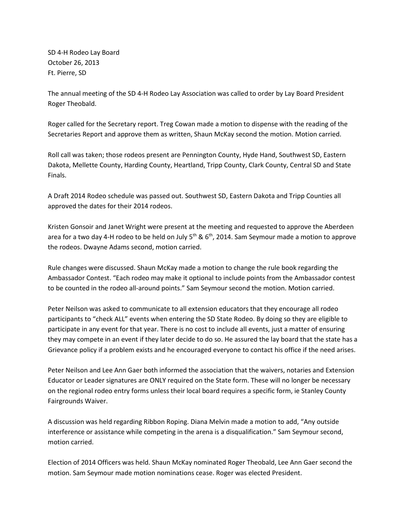SD 4-H Rodeo Lay Board October 26, 2013 Ft. Pierre, SD

The annual meeting of the SD 4-H Rodeo Lay Association was called to order by Lay Board President Roger Theobald.

Roger called for the Secretary report. Treg Cowan made a motion to dispense with the reading of the Secretaries Report and approve them as written, Shaun McKay second the motion. Motion carried.

Roll call was taken; those rodeos present are Pennington County, Hyde Hand, Southwest SD, Eastern Dakota, Mellette County, Harding County, Heartland, Tripp County, Clark County, Central SD and State Finals.

A Draft 2014 Rodeo schedule was passed out. Southwest SD, Eastern Dakota and Tripp Counties all approved the dates for their 2014 rodeos.

Kristen Gonsoir and Janet Wright were present at the meeting and requested to approve the Aberdeen area for a two day 4-H rodeo to be held on July  $5<sup>th</sup>$  & 6<sup>th</sup>, 2014. Sam Seymour made a motion to approve the rodeos. Dwayne Adams second, motion carried.

Rule changes were discussed. Shaun McKay made a motion to change the rule book regarding the Ambassador Contest. "Each rodeo may make it optional to include points from the Ambassador contest to be counted in the rodeo all-around points." Sam Seymour second the motion. Motion carried.

Peter Neilson was asked to communicate to all extension educators that they encourage all rodeo participants to "check ALL" events when entering the SD State Rodeo. By doing so they are eligible to participate in any event for that year. There is no cost to include all events, just a matter of ensuring they may compete in an event if they later decide to do so. He assured the lay board that the state has a Grievance policy if a problem exists and he encouraged everyone to contact his office if the need arises.

Peter Neilson and Lee Ann Gaer both informed the association that the waivers, notaries and Extension Educator or Leader signatures are ONLY required on the State form. These will no longer be necessary on the regional rodeo entry forms unless their local board requires a specific form, ie Stanley County Fairgrounds Waiver.

A discussion was held regarding Ribbon Roping. Diana Melvin made a motion to add, "Any outside interference or assistance while competing in the arena is a disqualification." Sam Seymour second, motion carried.

Election of 2014 Officers was held. Shaun McKay nominated Roger Theobald, Lee Ann Gaer second the motion. Sam Seymour made motion nominations cease. Roger was elected President.